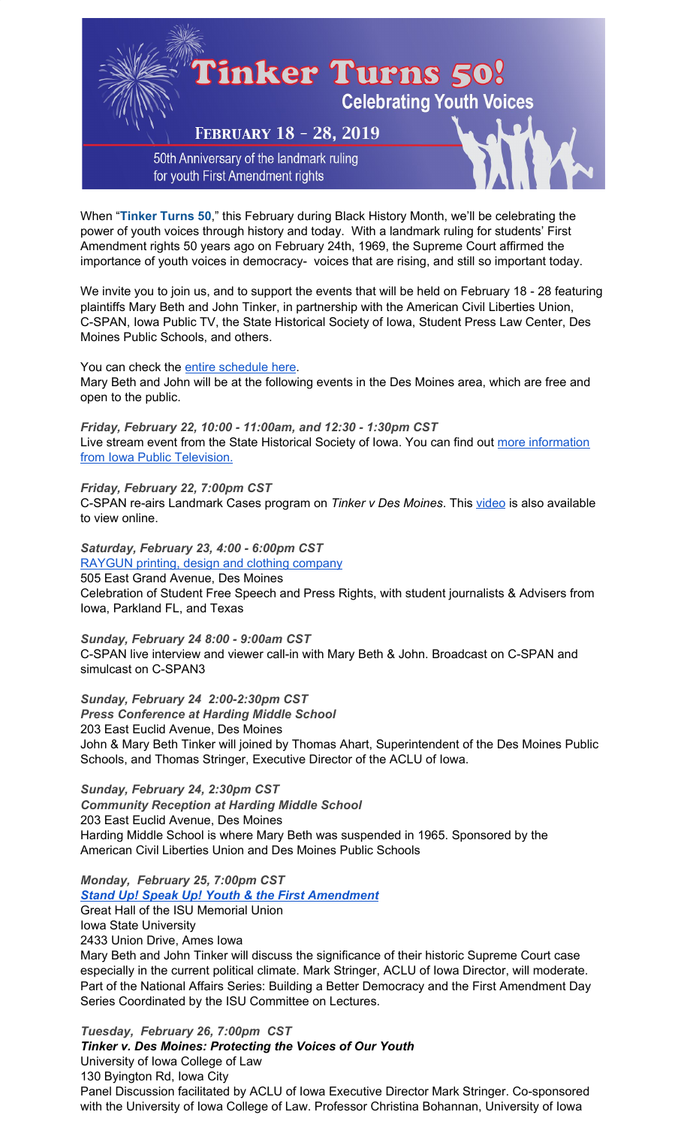

When "**Tinker Turns 50**," this February during Black History Month, we'll be celebrating the power of youth voices through history and today. With a landmark ruling for students' First Amendment rights 50 years ago on February 24th, 1969, the Supreme Court affirmed the importance of youth voices in democracy- voices that are rising, and still so important today.

We invite you to join us, and to support the events that will be held on February 18 - 28 featuring plaintiffs Mary Beth and John Tinker, in partnership with the American Civil Liberties Union, C-SPAN, Iowa Public TV, the State Historical Society of Iowa, Student Press Law Center, Des Moines Public Schools, and others.

#### You can check the entire [schedule](https://tinkertourusa.org/tourinfo/tinker-turns-50/) here.

Mary Beth and John will be at the following events in the Des Moines area, which are free and open to the public.

*Friday, February 22, 10:00 - 11:00am, and 12:30 - 1:30pm CST* Live stream event from the State Historical Society of Iowa. You can find out more [information](http://www.iptv.org/video/story/32660/50th-anniversary-tinker-v-des-moines-schools-decision) from Iowa Public [Television.](http://www.iptv.org/video/story/32660/50th-anniversary-tinker-v-des-moines-schools-decision)

## *Friday, February 22, 7:00pm CST*

C-SPAN re-airs Landmark Cases program on *Tinker v Des Moines*. This [video](https://www.c-span.org/video/?440875-1/supreme-court-landmark-case-tinker-v-des-moines) is also available to view online.

# *Saturday, February 23, 4:00 - 6:00pm CST*

[RAYGUN](https://www.raygunsite.com/) printing, design and clothing company 505 East Grand Avenue, Des Moines

Celebration of Student Free Speech and Press Rights, with student journalists & Advisers from Iowa, Parkland FL, and Texas

*Sunday, February 24 8:00 - 9:00am CST* C-SPAN live interview and viewer call-in with Mary Beth & John. Broadcast on C-SPAN and simulcast on C-SPAN3

*Sunday, February 24 2:00-2:30pm CST Press Conference at Harding Middle School* 203 East Euclid Avenue, Des Moines John & Mary Beth Tinker will joined by Thomas Ahart, Superintendent of the Des Moines Public Schools, and Thomas Stringer, Executive Director of the ACLU of Iowa.

*Sunday, February 24, 2:30pm CST Community Reception at Harding Middle School* 203 East Euclid Avenue, Des Moines Harding Middle School is where Mary Beth was suspended in 1965. Sponsored by the American Civil Liberties Union and Des Moines Public Schools

*Monday, February 25, 7:00pm CST*

## *Stand Up! Speak Up! Youth & the First [Amendment](https://www.lectures.iastate.edu/lecture/45236)*

Great Hall of the ISU Memorial Union Iowa State University 2433 Union Drive, Ames Iowa

Mary Beth and John Tinker will discuss the significance of their historic Supreme Court case especially in the current political climate. Mark Stringer, ACLU of Iowa Director, will moderate. Part of the National Affairs Series: Building a Better Democracy and the First Amendment Day Series Coordinated by the ISU Committee on Lectures.

*Tuesday, February 26, 7:00pm CST Tinker v. Des Moines: Protecting the Voices of Our Youth* University of Iowa College of Law 130 Byington Rd, Iowa City Panel Discussion facilitated by ACLU of Iowa Executive Director Mark Stringer. Co-sponsored with the University of Iowa College of Law. Professor Christina Bohannan, University of Iowa